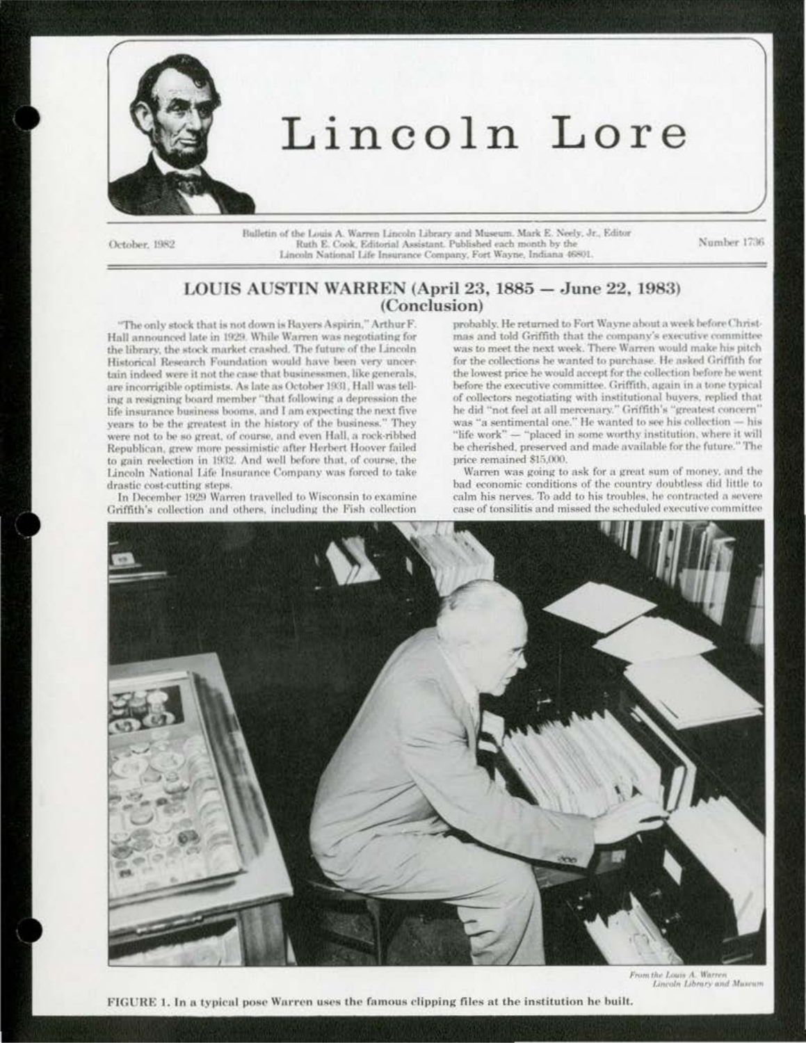

# Lincoln Lore

October, 1982

Bulletin of the Louis A. Warren Lincoln Library and Museum. Mark E. Neely, Jr., Editor Ruth E. Cook, Editorial Assistant. Published each month by the Lincoln National Life Insurance Company, Fort Wayne, Indiana 46801.

Number 1736

## LOUIS AUSTIN WARREN (April 23, 1885 - June 22, 1983) (Conclusion)

"The only stock that is not down is Bayers Aspirin," Arthur F. Hall announced late in 1929. While Warren was negotiating for the library, the stock market crashed. The future of the Lincoln Historical Research Foundation would have been very uncertain indeed were it not the case that businessmen. like generals. are incorrigible optimists. As late as October 1931, Hall was telling a resigning board member "that following a depression the life insurance business booms, and I am expecting the next five years to be the greatest in the history of the business." They were not to be so great, of course, and even Hall, a rock-ribbed Republican, grew more pessimistic after Herbert Hoover failed to gain reelection in 1932. And well before that, of course, the Lincoln National Life Insurance Company was forced to take drastic cost-cutting steps.

In December 1929 Warren travelled to Wisconsin to examine Griffith's collection and others, including the Fish collection

probably. He returned to Fort Wayne about a week before Christmas and told Griffith that the company's executive committee was to meet the next week. There Warren would make his pitch for the collections he wanted to purchase. He asked Griffith for the lowest price he would accept for the collection before he went before the executive committee. Griffith, again in a tone typical of collectors negotiating with institutional buvers, replied that he did "not feel at all mercenary." Griffith's "greatest concern" was "a sentimental one." He wanted to see his collection - his "life work" - "placed in some worthy institution, where it will be cherished, preserved and made available for the future." The price remained \$15,000.

Warren was going to ask for a great sum of money, and the bad economic conditions of the country doubtless did little to calm his nerves. To add to his troubles, he contracted a severe case of tonsilitis and missed the scheduled executive committee



From the Louis A. Warren<br>Lincoln Library and Maseum

FIGURE 1. In a typical pose Warren uses the famous clipping files at the institution he built.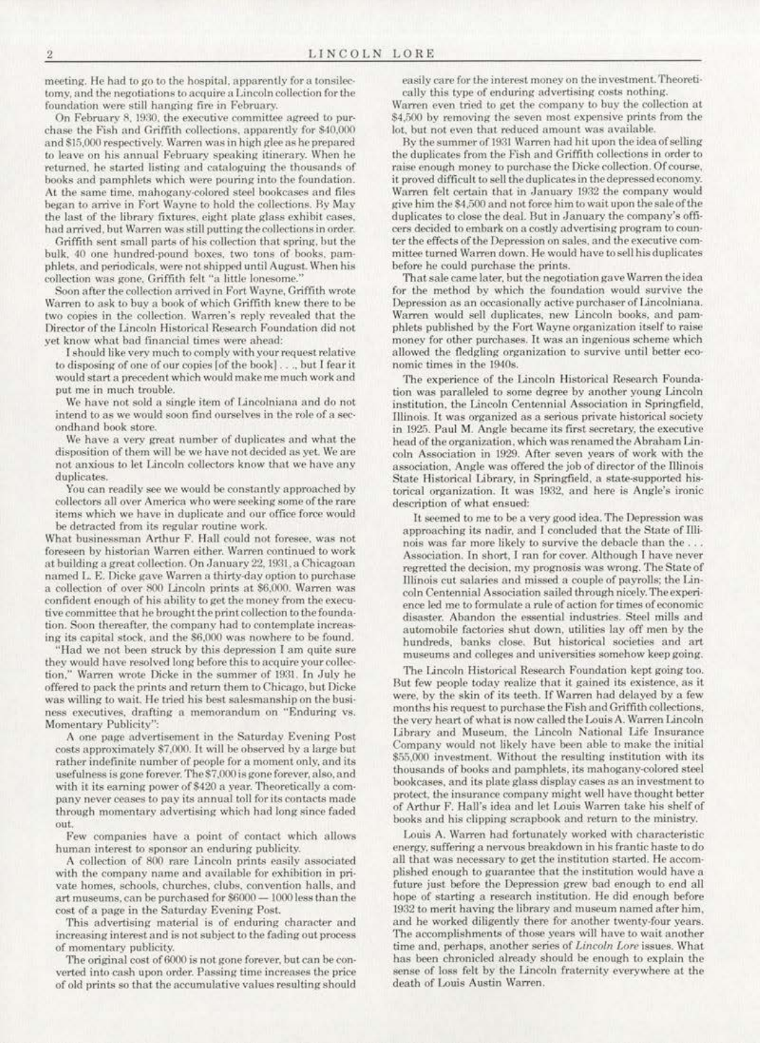meeting. He had to go to the hospital, apparently for a tonsilectomy, and the negotiations to acquire a Lincoln collection for the foundation were still hanging fire in February.

On February 8, 1930, the executive committee agreed to purchase the Fish and Griffith collections, apparently for \$40,000 and \$15,000 respectively. Warren was in high glee as he prepared to leave on his annual February speaking itinerary. When he returned, he started listing and cataloguing the thousands of books and pamphlets which were pouring into the foundation. At the same time, mahogany-colored steel bookcases and files began to arrive in Fort Wayne to hold the collections. By May the last of the library fixtures, eight plate glass exhibit cases, had arrived, but Warren was still putting the collections in order.

Griffith sent small parts of his collection that spring, but the bulk, 40 one hundred-pound boxes, two tons of books, pamphlets, and periodicals, were not shipped until August. When his collection was gone, Griffith felt "a little lonesome."

Soon after the collection arrived in Fort Wayne, Griffith wrote Warren to ask to buy a book of which Griffith knew there to be two copies in the collection. Warren's reply revealed that the Director of the Lincoln Historical Research Foundation did not yet know what bad financial times were ahead:

I should like very much to comply with your request relative to disposing of one of our copies [of the book]..., but I fear it would start a precedent which would make me much work and put me in much trouble.

We have not sold a single item of Lincolniana and do not intend to as we would soon find ourselves in the role of a secondhand book store.

We have a very great number of duplicates and what the disposition of them will be we have not decided as yet. We are not anxious to let Lincoln collectors know that we have any duplicates.

You can readily see we would be constantly approached by collectors all over America who were seeking some of the rare items which we have in duplicate and our office force would be detracted from its regular routine work.

What businessman Arthur F. Hall could not foresee, was not foreseen by historian Warren either. Warren continued to work at building a great collection. On January 22, 1931, a Chicagoan named L. E. Dicke gave Warren a thirty-day option to purchase a collection of over 800 Lincoln prints at \$6,000. Warren was confident enough of his ability to get the money from the executive committee that he brought the print collection to the foundation. Soon thereafter, the company had to contemplate increasing its capital stock, and the \$6,000 was nowhere to be found.

"Had we not been struck by this depression I am quite sure they would have resolved long before this to acquire your collec-Warren wrote Dicke in the summer of 1931. In July he tion." offered to pack the prints and return them to Chicago, but Dicke was willing to wait. He tried his best salesmanship on the business executives, drafting a memorandum on "Enduring vs. Momentary Publicity"

A one page advertisement in the Saturday Evening Post costs approximately \$7,000. It will be observed by a large but rather indefinite number of people for a moment only, and its usefulness is gone forever. The \$7,000 is gone forever, also, and with it its earning power of \$420 a year. Theoretically a company never ceases to pay its annual toll for its contacts made through momentary advertising which had long since faded out

Few companies have a point of contact which allows human interest to sponsor an enduring publicity.

A collection of 800 rare Lincoln prints easily associated with the company name and available for exhibition in private homes, schools, churches, clubs, convention halls, and art museums, can be purchased for \$6000 - 1000 less than the cost of a page in the Saturday Evening Post.

This advertising material is of enduring character and increasing interest and is not subject to the fading out process of momentary publicity.

The original cost of 6000 is not gone forever, but can be converted into cash upon order. Passing time increases the price of old prints so that the accumulative values resulting should

easily care for the interest money on the investment. Theoretically this type of enduring advertising costs nothing.

Warren even tried to get the company to buy the collection at \$4,500 by removing the seven most expensive prints from the lot, but not even that reduced amount was available.

By the summer of 1931 Warren had hit upon the idea of selling the duplicates from the Fish and Griffith collections in order to raise enough money to purchase the Dicke collection. Of course, it proved difficult to sell the duplicates in the depressed economy. Warren felt certain that in January 1932 the company would give him the \$4,500 and not force him to wait upon the sale of the duplicates to close the deal. But in January the company's officers decided to embark on a costly advertising program to counter the effects of the Depression on sales, and the executive committee turned Warren down. He would have to sell his duplicates before he could purchase the prints.

That sale came later, but the negotiation gave Warren the idea for the method by which the foundation would survive the Depression as an occasionally active purchaser of Lincolniana. Warren would sell duplicates, new Lincoln books, and pamphlets published by the Fort Wayne organization itself to raise money for other purchases. It was an ingenious scheme which allowed the fledgling organization to survive until better economic times in the 1940s.

The experience of the Lincoln Historical Research Foundation was paralleled to some degree by another young Lincoln institution, the Lincoln Centennial Association in Springfield, Illinois. It was organized as a serious private historical society in 1925. Paul M. Angle became its first secretary, the executive head of the organization, which was renamed the Abraham Lincoln Association in 1929. After seven years of work with the association. Angle was offered the job of director of the Illinois State Historical Library, in Springfield, a state-supported historical organization. It was 1932, and here is Angle's ironic description of what ensued:

It seemed to me to be a very good idea. The Depression was approaching its nadir, and I concluded that the State of Illinois was far more likely to survive the debacle than the ... Association. In short, I ran for cover. Although I have never regretted the decision, my prognosis was wrong. The State of Illinois cut salaries and missed a couple of payrolls; the Lincoln Centennial Association sailed through nicely. The experience led me to formulate a rule of action for times of economic disaster. Abandon the essential industries. Steel mills and automobile factories shut down, utilities lay off men by the hundreds, banks close. But historical societies and art museums and colleges and universities somehow keep going.

The Lincoln Historical Research Foundation kept going too. But few people today realize that it gained its existence, as it were, by the skin of its teeth. If Warren had delayed by a few months his request to purchase the Fish and Griffith collections, the very heart of what is now called the Louis A. Warren Lincoln Library and Museum, the Lincoln National Life Insurance Company would not likely have been able to make the initial \$55,000 investment. Without the resulting institution with its thousands of books and pamphlets, its mahogany-colored steel bookcases, and its plate glass display cases as an investment to protect, the insurance company might well have thought better of Arthur F. Hall's idea and let Louis Warren take his shelf of books and his clipping scrapbook and return to the ministry.

Louis A. Warren had fortunately worked with characteristic energy, suffering a nervous breakdown in his frantic haste to do all that was necessary to get the institution started. He accomplished enough to guarantee that the institution would have a future just before the Depression grew bad enough to end all hope of starting a research institution. He did enough before 1932 to merit having the library and museum named after him. and he worked diligently there for another twenty-four years. The accomplishments of those years will have to wait another time and, perhaps, another series of Lincoln Lore issues. What has been chronicled already should be enough to explain the sense of loss felt by the Lincoln fraternity everywhere at the death of Louis Austin Warren.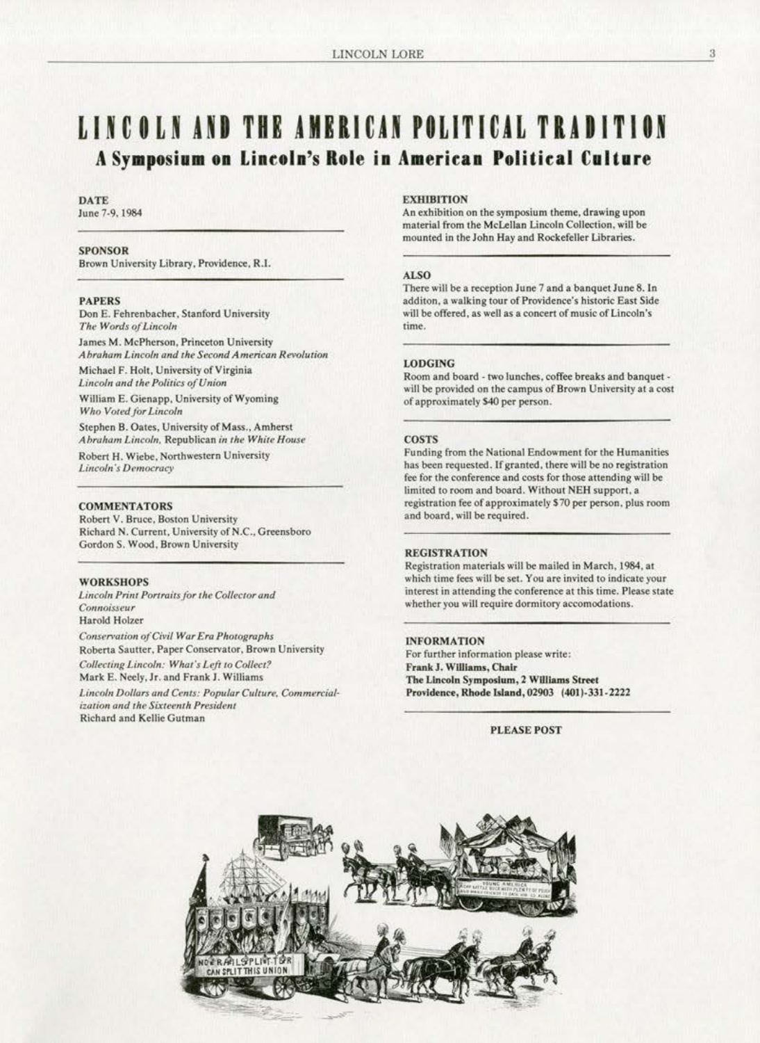## LINCOLN AND THE AMERICAN POLITICAL TRADITION A Symposium on Lincoln's Role in American Political Culture

#### **DATE**

June 7-9, 1984

#### **SPONSOR**

Brown University Library, Providence, R.I.

#### **PAPERS**

Don E. Fehrenbacher, Stanford University The Words of Lincoln

James M. McPherson, Princeton University Abraham Lincoln and the Second American Revolution Michael F. Holt, University of Virginia Lincoln and the Politics of Union

William E. Gienapp, University of Wyoming Who Voted for Lincoln

Stephen B. Oates, University of Mass., Amherst Abraham Lincoln, Republican in the White House Robert H. Wiebe, Northwestern University

Lincoln's Democracy

#### **COMMENTATORS**

Robert V. Bruce, Boston University Richard N. Current, University of N.C., Greensboro Gordon S. Wood, Brown University

#### **WORKSHOPS**

Lincoln Print Portraits for the Collector and Connoisseur **Harold Holzer** 

Conservation of Civil War Era Photographs Roberta Sautter, Paper Conservator, Brown University Collecting Lincoln: What's Left to Collect? Mark E. Neely, Jr. and Frank J. Williams

Lincoln Dollars and Cents: Popular Culture, Commercialization and the Sixteenth President Richard and Kellie Gutman

#### **EXHIBITION**

An exhibition on the symposium theme, drawing upon material from the McLellan Lincoln Collection, will be mounted in the John Hay and Rockefeller Libraries.

#### **ALSO**

There will be a reception June 7 and a banquet June 8. In additon, a walking tour of Providence's historic East Side will be offered, as well as a concert of music of Lincoln's time.

#### **LODGING**

Room and board - two lunches, coffee breaks and banquet will be provided on the campus of Brown University at a cost of approximately \$40 per person.

#### **COSTS**

Funding from the National Endowment for the Humanities has been requested. If granted, there will be no registration fee for the conference and costs for those attending will be limited to room and board. Without NEH support, a registration fee of approximately \$70 per person, plus room and board, will be required.

#### **REGISTRATION**

Registration materials will be mailed in March, 1984, at which time fees will be set. You are invited to indicate your interest in attending the conference at this time. Please state whether you will require dormitory accomodations.

#### **INFORMATION**

For further information please write: Frank J. Williams, Chair The Lincoln Symposium, 2 Williams Street Providence, Rhode Island, 02903 (401)-331-2222

**PLEASE POST**